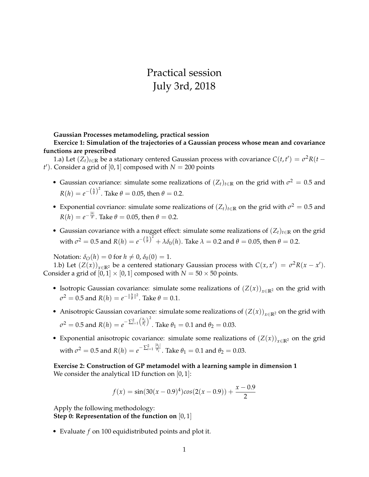# Practical session July 3rd, 2018

**Gaussian Processes metamodeling, practical session**

**Exercice 1: Simulation of the trajectories of a Gaussian process whose mean and covariance functions are prescribed**

1.a) Let  $(Z_t)_{t\in\mathbb{R}}$  be a stationary centered Gaussian process with covariance  $C(t,t') = \sigma^2 R(t-t')$  $t'$ ). Consider a grid of [0, 1] composed with  $N = 200$  points

- Gaussian covariance: simulate some realizations of  $(Z_t)_{t\in\mathbb{R}}$  on the grid with  $\sigma^2 = 0.5$  and  $R(h) = e^{-\left(\frac{h}{\theta}\right)^2}$ . Take  $\theta = 0.05$ , then  $\theta = 0.2$ .
- Exponential covriance: simulate some realizations of  $(Z_t)_{t\in\mathbb{R}}$  on the grid with  $\sigma^2 = 0.5$  and  $R(h) = e^{-\frac{|h|}{\theta}}$ . Take  $\theta = 0.05$ , then  $\theta = 0.2$ .
- Gaussian covariance with a nugget effect: simulate some realizations of  $(Z_t)_{t\in\mathbb{R}}$  on the grid with  $\sigma^2 = 0.5$  and  $R(h) = e^{-\left(\frac{h}{\theta}\right)^2} + \lambda \delta_0(h)$ . Take  $\lambda = 0.2$  and  $\theta = 0.05$ , then  $\theta = 0.2$ .

Notation:  $\delta_{\mathcal{O}}(h) = 0$  for  $h \neq 0$ ,  $\delta_{0}(0) = 1$ .

1.b) Let  $(Z(x))_{x \in \mathbb{R}^2}$  be a centered stationary Gaussian process with  $C(x, x') = \sigma^2 R(x - x')$ . Consider a grid of  $[0, 1] \times [0, 1]$  composed with  $N = 50 \times 50$  points.

- Isotropic Gaussian covariance: simulate some realizations of  $(Z(x))_{x \in \mathbb{R}^2}$  on the grid with  $\sigma^2 = 0.5$  and  $R(h) = e^{-\|\frac{h}{\theta}\|^2}$ . Take  $\theta = 0.1$ .
- Anisotropic Gaussian covariance: simulate some realizations of  $(Z(x))_{x\in\mathbb{R}^2}$  on the grid with  $\sigma^2 = 0.5$  and  $R(h) = e^{-\sum_{i=1}^2 \left(\frac{h_i}{\theta_i}\right)^2}$ . Take  $\theta_1 = 0.1$  and  $\theta_2 = 0.03$ .
- Exponential anisotropic covariance: simulate some realizations of  $(Z(x))_{x\in\mathbb{R}^2}$  on the grid with  $\sigma^2 = 0.5$  and  $R(h) = e^{-\sum_{i=1}^{2} \frac{|h_i|}{\theta_i}}$  $\overline{\theta_i}$  . Take  $\theta_1 = 0.1$  and  $\theta_2 = 0.03$ .

**Exercise 2: Construction of GP metamodel with a learning sample in dimension 1** We consider the analytical 1D function on  $[0, 1]$ :

$$
f(x) = \sin(30(x - 0.9)^4)\cos(2(x - 0.9)) + \frac{x - 0.9}{2}
$$

Apply the following methodology: **Step 0: Representation of the function on** [0, 1]

• Evaluate *f* on 100 equidistributed points and plot it.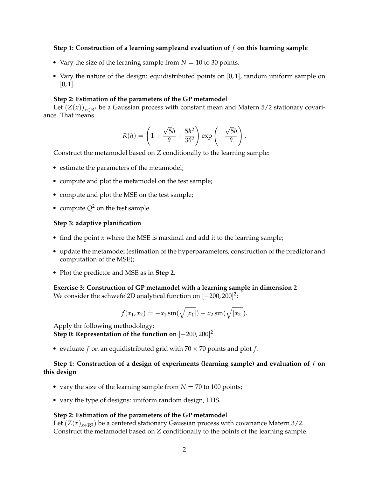### **Step 1: Construction of a learning sampleand evaluation of** *f* **on this learning sample**

- Vary the size of the leraning sample from  $N = 10$  to 30 points.
- Vary the nature of the design: equidistributed points on  $[0, 1]$ , random uniform sample on  $[0, 1]$ .

### **Step 2: Estimation of the parameters of the GP metamodel**

Let  $(Z(x))_{x\in\mathbb{R}^2}$  be a Gaussian process with constant mean and Matern 5/2 stationary covariance. That means

$$
R(h) = \left(1 + \frac{\sqrt{5}h}{\theta} + \frac{5h^2}{3\theta^2}\right) \exp\left(-\frac{\sqrt{5}h}{\theta}\right).
$$

Construct the metamodel based on *Z* conditionally to the learning sample:

- estimate the parameters of the metamodel;
- compute and plot the metamodel on the test sample;
- compute and plot the MSE on the test sample;
- compute  $Q^2$  on the test sample.

#### **Step 3: adaptive planification**

- find the point *x* where the MSE is maximal and add it to the learning sample;
- update the metamodel (estimation of the hyperparameters, construction of the predictor and computation of the MSE);
- Plot the predictor and MSE as in **Step 2**.

**Exercise 3: Construction of GP metamodel with a learning sample in dimension 2** We consider the schwefel2D analytical function on  $[-200,200]^2$ :

$$
f(x_1, x_2) = -x_1 \sin(\sqrt{|x_1|}) - x_2 \sin(\sqrt{|x_2|}).
$$

Apply thr following methodology: **Step 0: Representation of the function on** [−200, 200] 2

• evaluate  $f$  on an equidistributed grid with  $70 \times 70$  points and plot  $f$ .

## **Step 1: Construction of a design of experiments (learning sample) and evaluation of** *f* **on this design**

- vary the size of the learning sample from  $N = 70$  to 100 points;
- vary the type of designs: uniform random design, LHS.

#### **Step 2: Estimation of the parameters of the GP metamodel**

Let  $(Z(x)_{x\in\mathbb{R}^2})$  be a centered stationary Gaussian process with covariance Matern 3/2. Construct the metamodel based on *Z* conditionally to the points of the learning sample.